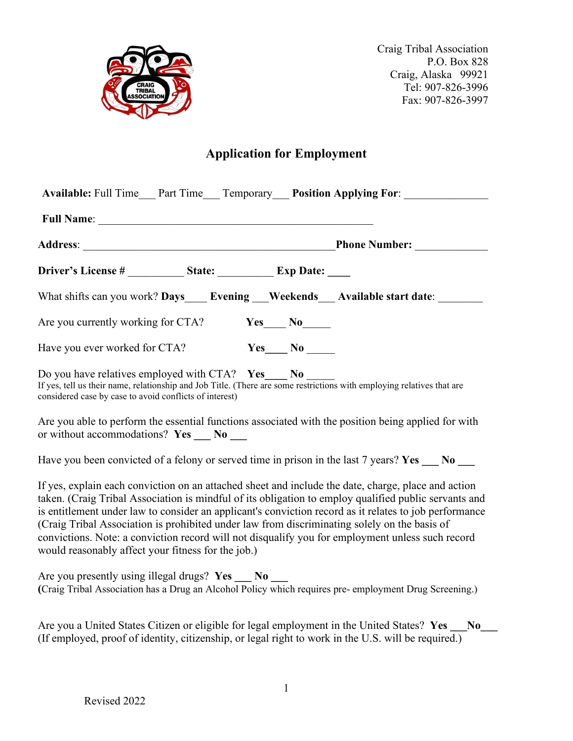

# **Application for Employment**

|                                                         |                 | Available: Full Time___ Part Time___ Temporary___ Position Applying For: ________                                                                                                                                                                                                                                                                                                                                                                                                                                          |
|---------------------------------------------------------|-----------------|----------------------------------------------------------------------------------------------------------------------------------------------------------------------------------------------------------------------------------------------------------------------------------------------------------------------------------------------------------------------------------------------------------------------------------------------------------------------------------------------------------------------------|
|                                                         |                 |                                                                                                                                                                                                                                                                                                                                                                                                                                                                                                                            |
|                                                         |                 |                                                                                                                                                                                                                                                                                                                                                                                                                                                                                                                            |
|                                                         |                 |                                                                                                                                                                                                                                                                                                                                                                                                                                                                                                                            |
|                                                         |                 | What shifts can you work? Days Evening Weekends Available start date:                                                                                                                                                                                                                                                                                                                                                                                                                                                      |
| Are you currently working for CTA? Yes No               |                 |                                                                                                                                                                                                                                                                                                                                                                                                                                                                                                                            |
| Have you ever worked for CTA?                           | $Yes$ No $\_\_$ |                                                                                                                                                                                                                                                                                                                                                                                                                                                                                                                            |
| considered case by case to avoid conflicts of interest) |                 | Do you have relatives employed with CTA? $Yes \t No$<br>If yes, tell us their name, relationship and Job Title. (There are some restrictions with employing relatives that are                                                                                                                                                                                                                                                                                                                                             |
| or without accommodations? $Yes \_\_No \_\_$            |                 | Are you able to perform the essential functions associated with the position being applied for with                                                                                                                                                                                                                                                                                                                                                                                                                        |
|                                                         |                 | Have you been convicted of a felony or served time in prison in the last 7 years? Yes ___ No ___                                                                                                                                                                                                                                                                                                                                                                                                                           |
| would reasonably affect your fitness for the job.)      |                 | If yes, explain each conviction on an attached sheet and include the date, charge, place and action<br>taken. (Craig Tribal Association is mindful of its obligation to employ qualified public servants and<br>is entitlement under law to consider an applicant's conviction record as it relates to job performance<br>(Craig Tribal Association is prohibited under law from discriminating solely on the basis of<br>convictions. Note: a conviction record will not disqualify you for employment unless such record |
| Are you presently using illegal drugs? Yes No           |                 | (Craig Tribal Association has a Drug an Alcohol Policy which requires pre-employment Drug Screening.)                                                                                                                                                                                                                                                                                                                                                                                                                      |

| Are you a United States Citizen or eligible for legal employment in the United States? Yes          |  |
|-----------------------------------------------------------------------------------------------------|--|
| (If employed, proof of identity, citizenship, or legal right to work in the U.S. will be required.) |  |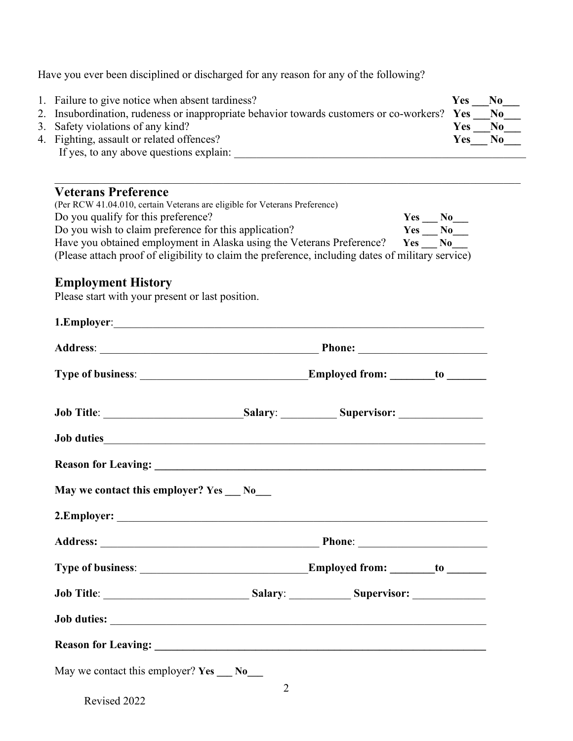Have you ever been disciplined or discharged for any reason for any of the following?

| 1. Failure to give notice when absent tardiness?                                            | Yes        | N <sub>0</sub> |
|---------------------------------------------------------------------------------------------|------------|----------------|
| 2. Insubordination, rudeness or inappropriate behavior towards customers or co-workers? Yes |            | N <sub>0</sub> |
| 3. Safety violations of any kind?                                                           | <b>Yes</b> | No             |
| 4. Fighting, assault or related offences?                                                   | <b>Yes</b> | No             |
| If yes, to any above questions explain:                                                     |            |                |

 $\_$  ,  $\_$  ,  $\_$  ,  $\_$  ,  $\_$  ,  $\_$  ,  $\_$  ,  $\_$  ,  $\_$  ,  $\_$  ,  $\_$  ,  $\_$  ,  $\_$  ,  $\_$  ,  $\_$  ,  $\_$  ,  $\_$  ,  $\_$  ,  $\_$  ,  $\_$  ,  $\_$  ,  $\_$  ,  $\_$  ,  $\_$  ,  $\_$  ,  $\_$  ,  $\_$  ,  $\_$  ,  $\_$  ,  $\_$  ,  $\_$  ,  $\_$  ,  $\_$  ,  $\_$  ,  $\_$  ,  $\_$  ,  $\_$  ,

# **Veterans Preference**

| (Per RCW 41.04.010, certain Veterans are eligible for Veterans Preference)                        |            |      |
|---------------------------------------------------------------------------------------------------|------------|------|
| Do you qualify for this preference?                                                               | <b>Yes</b> | No.  |
| Do you wish to claim preference for this application?                                             | Yes        | No.  |
| Have you obtained employment in Alaska using the Veterans Preference?                             | <b>Yes</b> | - No |
| (Please attach proof of eligibility to claim the preference, including dates of military service) |            |      |

# **Employment History**

Please start with your present or last position.

| Job Title: Salary: Salary: Supervisor: Supervisor: |                |  |
|----------------------------------------------------|----------------|--|
|                                                    |                |  |
|                                                    |                |  |
| May we contact this employer? Yes __ No__          |                |  |
|                                                    |                |  |
|                                                    |                |  |
|                                                    |                |  |
|                                                    |                |  |
|                                                    |                |  |
|                                                    |                |  |
| May we contact this employer? Yes ___ No___        | $\overline{2}$ |  |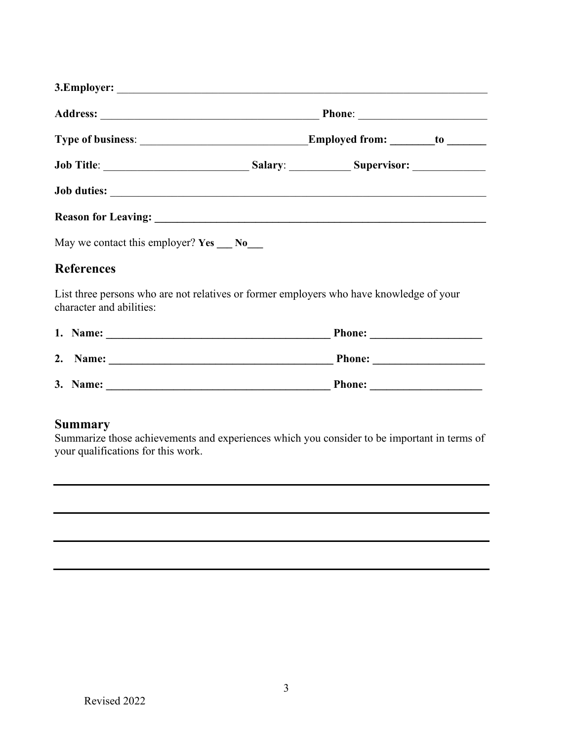|                                      |                     | Employed from: ________ to _______ |  |
|--------------------------------------|---------------------|------------------------------------|--|
|                                      | Salary: Supervisor: |                                    |  |
| Job duties: <u>Department</u>        |                     |                                    |  |
| Reason for Leaving: New York 1988.   |                     |                                    |  |
| May we contact this employer? Yes No |                     |                                    |  |
| <b>References</b>                    |                     |                                    |  |

List three persons who are not relatives or former employers who have knowledge of your character and abilities:

|    | 1. Name: | <b>Phone:</b> |
|----|----------|---------------|
| 2. | Name:    | <b>Phone:</b> |
|    | 3. Name: | <b>Phone:</b> |

# **Summary**

Summarize those achievements and experiences which you consider to be important in terms of your qualifications for this work.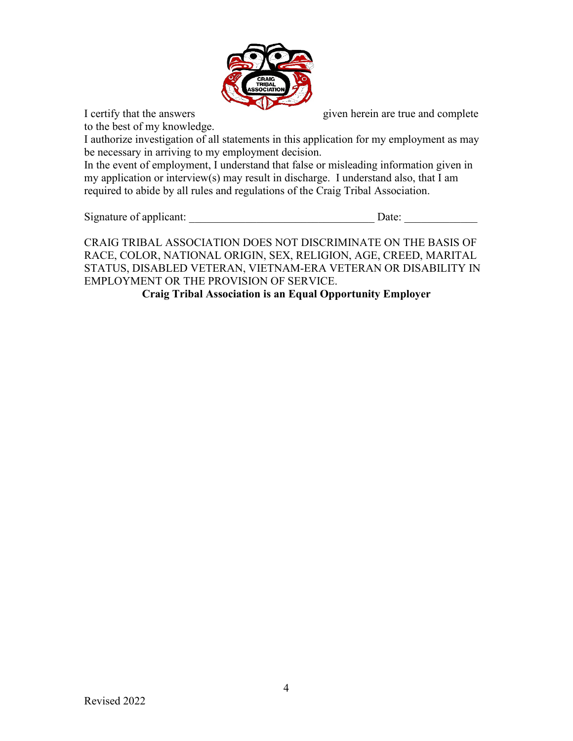

to the best of my knowledge.

I certify that the answers given herein are true and complete

I authorize investigation of all statements in this application for my employment as may be necessary in arriving to my employment decision.

In the event of employment, I understand that false or misleading information given in my application or interview(s) may result in discharge. I understand also, that I am required to abide by all rules and regulations of the Craig Tribal Association.

Signature of applicant:  $\Box$ 

CRAIG TRIBAL ASSOCIATION DOES NOT DISCRIMINATE ON THE BASIS OF RACE, COLOR, NATIONAL ORIGIN, SEX, RELIGION, AGE, CREED, MARITAL STATUS, DISABLED VETERAN, VIETNAM-ERA VETERAN OR DISABILITY IN EMPLOYMENT OR THE PROVISION OF SERVICE.

**Craig Tribal Association is an Equal Opportunity Employer**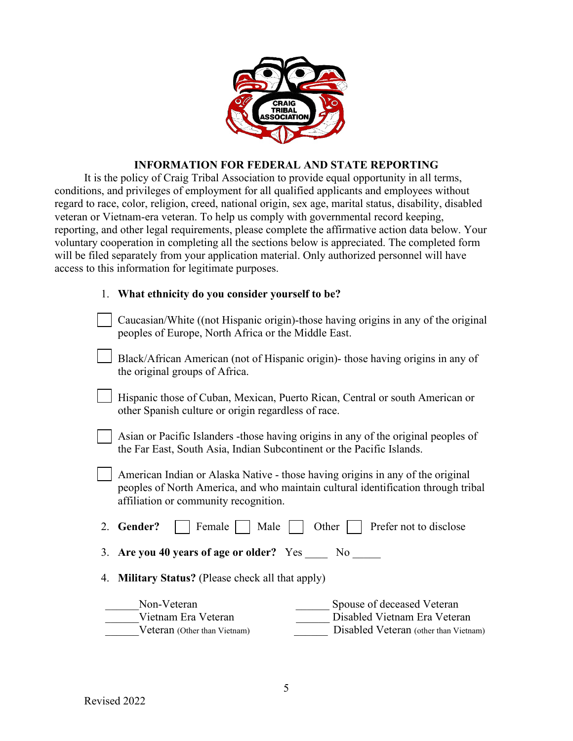

#### **INFORMATION FOR FEDERAL AND STATE REPORTING**

It is the policy of Craig Tribal Association to provide equal opportunity in all terms, conditions, and privileges of employment for all qualified applicants and employees without regard to race, color, religion, creed, national origin, sex age, marital status, disability, disabled veteran or Vietnam-era veteran. To help us comply with governmental record keeping, reporting, and other legal requirements, please complete the affirmative action data below. Your voluntary cooperation in completing all the sections below is appreciated. The completed form will be filed separately from your application material. Only authorized personnel will have access to this information for legitimate purposes.

#### 1. **What ethnicity do you consider yourself to be?**

| Caucasian/White ((not Hispanic origin)-those having origins in any of the original<br>peoples of Europe, North Africa or the Middle East.                                                                    |  |  |  |
|--------------------------------------------------------------------------------------------------------------------------------------------------------------------------------------------------------------|--|--|--|
| Black/African American (not of Hispanic origin) those having origins in any of<br>the original groups of Africa.                                                                                             |  |  |  |
| Hispanic those of Cuban, Mexican, Puerto Rican, Central or south American or<br>other Spanish culture or origin regardless of race.                                                                          |  |  |  |
| Asian or Pacific Islanders - those having origins in any of the original peoples of<br>the Far East, South Asia, Indian Subcontinent or the Pacific Islands.                                                 |  |  |  |
| American Indian or Alaska Native - those having origins in any of the original<br>peoples of North America, and who maintain cultural identification through tribal<br>affiliation or community recognition. |  |  |  |
| Female<br>2. Gender?<br>Male<br>Other<br>Prefer not to disclose                                                                                                                                              |  |  |  |
| 3. Are you 40 years of age or older? Yes No                                                                                                                                                                  |  |  |  |
| 4. Military Status? (Please check all that apply)                                                                                                                                                            |  |  |  |
| Non-Veteran<br>Spouse of deceased Veteran<br>Disabled Vietnam Era Veteran<br>Vietnam Era Veteran<br>Disabled Veteran (other than Vietnam)<br>Veteran (Other than Vietnam)                                    |  |  |  |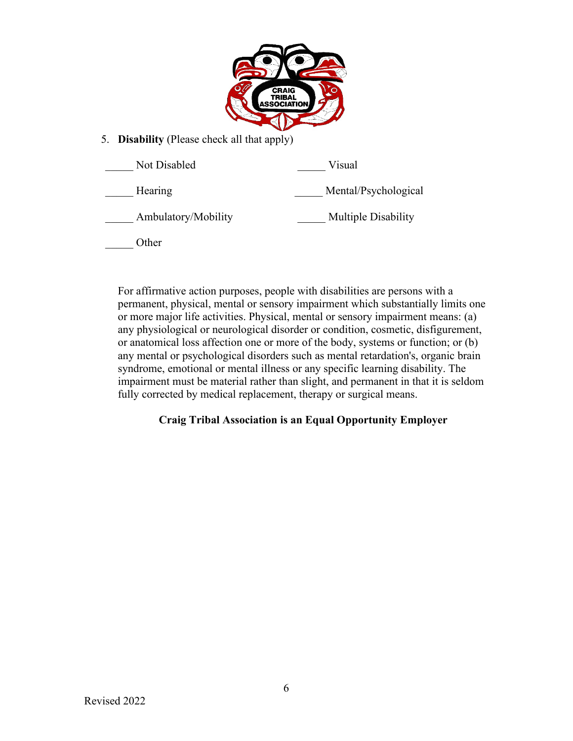

5. **Disability** (Please check all that apply)

| Not Disabled        | Visual               |
|---------------------|----------------------|
| Hearing             | Mental/Psychological |
| Ambulatory/Mobility | Multiple Disability  |
| )ther               |                      |

For affirmative action purposes, people with disabilities are persons with a permanent, physical, mental or sensory impairment which substantially limits one or more major life activities. Physical, mental or sensory impairment means: (a) any physiological or neurological disorder or condition, cosmetic, disfigurement, or anatomical loss affection one or more of the body, systems or function; or (b) any mental or psychological disorders such as mental retardation's, organic brain syndrome, emotional or mental illness or any specific learning disability. The impairment must be material rather than slight, and permanent in that it is seldom fully corrected by medical replacement, therapy or surgical means.

# **Craig Tribal Association is an Equal Opportunity Employer**